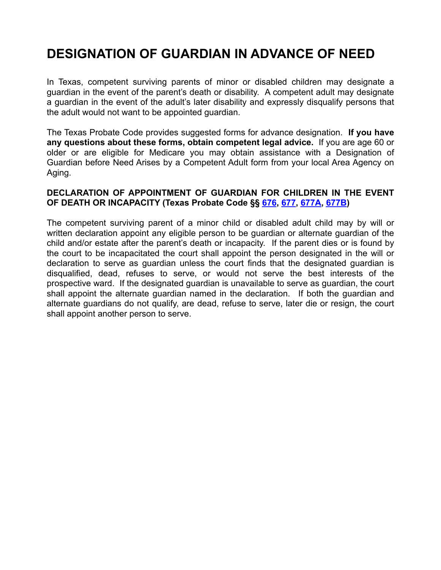# **DESIGNATION OF GUARDIAN IN ADVANCE OF NEED**

In Texas, competent surviving parents of minor or disabled children may designate a guardian in the event of the parent's death or disability. A competent adult may designate a guardian in the event of the adult's later disability and expressly disqualify persons that the adult would not want to be appointed guardian.

The Texas Probate Code provides suggested forms for advance designation. **If you have any questions about these forms, obtain competent legal advice.** If you are age 60 or older or are eligible for Medicare you may obtain assistance with a Designation of Guardian before Need Arises by a Competent Adult form from your local Area Agency on Aging.

#### **DECLARATION OF APPOINTMENT OF GUARDIAN FOR CHILDREN IN THE EVENT OF DEATH OR INCAPACITY (Texas Probate Code §§ [676](http://codes.lp.findlaw.com/txstatutes/PB/XIII/676), [677,](http://codes.lp.findlaw.com/txstatutes/PB/XIII/677) [677A](http://codes.lp.findlaw.com/txstatutes/PB/XIII/677A), [677B](http://codes.lp.findlaw.com/txstatutes/PB/XIII/677B))**

The competent surviving parent of a minor child or disabled adult child may by will or written declaration appoint any eligible person to be guardian or alternate guardian of the child and/or estate after the parent's death or incapacity. If the parent dies or is found by the court to be incapacitated the court shall appoint the person designated in the will or declaration to serve as guardian unless the court finds that the designated guardian is disqualified, dead, refuses to serve, or would not serve the best interests of the prospective ward. If the designated guardian is unavailable to serve as guardian, the court shall appoint the alternate guardian named in the declaration. If both the guardian and alternate guardians do not qualify, are dead, refuse to serve, later die or resign, the court shall appoint another person to serve.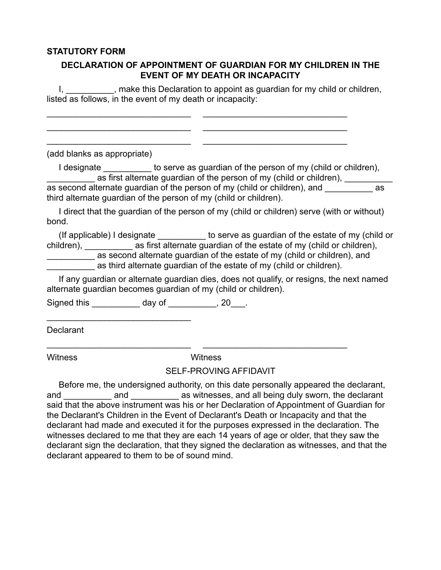#### **STATUTORY FORM**

#### **DECLARATION OF APPOINTMENT OF GUARDIAN FOR MY CHILDREN IN THE EVENT OF MY DEATH OR INCAPACITY**

I, 1. All 2008, make this Declaration to appoint as guardian for my child or children, listed as follows, in the event of my death or incapacity:

\_\_\_\_\_\_\_\_\_\_\_\_\_\_\_\_\_\_\_\_\_\_\_\_\_\_\_\_\_\_ \_\_\_\_\_\_\_\_\_\_\_\_\_\_\_\_\_\_\_\_\_\_\_\_\_\_\_\_\_\_ \_\_\_\_\_\_\_\_\_\_\_\_\_\_\_\_\_\_\_\_\_\_\_\_\_\_\_\_\_\_ \_\_\_\_\_\_\_\_\_\_\_\_\_\_\_\_\_\_\_\_\_\_\_\_\_\_\_\_\_\_ \_\_\_\_\_\_\_\_\_\_\_\_\_\_\_\_\_\_\_\_\_\_\_\_\_\_\_\_\_\_ \_\_\_\_\_\_\_\_\_\_\_\_\_\_\_\_\_\_\_\_\_\_\_\_\_\_\_\_\_\_

(add blanks as appropriate)

I designate **to serve as guardian of the person of my (child or children)**, as first alternate guardian of the person of my (child or children), \_\_\_\_\_\_\_\_\_\_\_

as second alternate quardian of the person of my (child or children), and as third alternate guardian of the person of my (child or children).

 I direct that the guardian of the person of my (child or children) serve (with or without) bond.

 (If applicable) I designate \_\_\_\_\_\_\_\_\_\_ to serve as guardian of the estate of my (child or children), \_\_\_\_\_\_\_\_\_\_\_\_ as first alternate guardian of the estate of my (child or children), as second alternate guardian of the estate of my (child or children), and as third alternate guardian of the estate of my (child or children).

 If any guardian or alternate guardian dies, does not qualify, or resigns, the next named alternate guardian becomes guardian of my (child or children).

Signed this \_\_\_\_\_\_\_\_\_\_\_\_ day of \_\_\_\_\_\_\_\_\_\_, 20\_\_\_.

\_\_\_\_\_\_\_\_\_\_\_\_\_\_\_\_\_\_\_\_\_\_\_\_\_\_\_\_\_\_

Declarant

Witness Witness

\_\_\_\_\_\_\_\_\_\_\_\_\_\_\_\_\_\_\_\_\_\_\_\_\_\_\_\_\_\_ \_\_\_\_\_\_\_\_\_\_\_\_\_\_\_\_\_\_\_\_\_\_\_\_\_\_\_\_\_\_

#### SELF-PROVING AFFIDAVIT

 Before me, the undersigned authority, on this date personally appeared the declarant, and and and as witnesses, and all being duly sworn, the declarant said that the above instrument was his or her Declaration of Appointment of Guardian for the Declarant's Children in the Event of Declarant's Death or Incapacity and that the declarant had made and executed it for the purposes expressed in the declaration. The witnesses declared to me that they are each 14 years of age or older, that they saw the declarant sign the declaration, that they signed the declaration as witnesses, and that the declarant appeared to them to be of sound mind.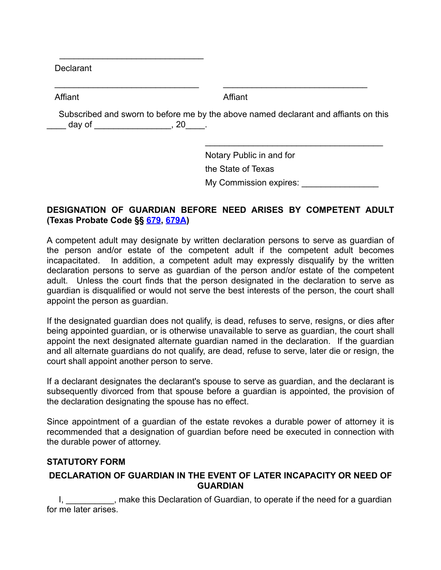Declarant

 $\frac{1}{2}$  ,  $\frac{1}{2}$  ,  $\frac{1}{2}$  ,  $\frac{1}{2}$  ,  $\frac{1}{2}$  ,  $\frac{1}{2}$  ,  $\frac{1}{2}$  ,  $\frac{1}{2}$  ,  $\frac{1}{2}$  ,  $\frac{1}{2}$  ,  $\frac{1}{2}$  ,  $\frac{1}{2}$  ,  $\frac{1}{2}$  ,  $\frac{1}{2}$  ,  $\frac{1}{2}$  ,  $\frac{1}{2}$  ,  $\frac{1}{2}$  ,  $\frac{1}{2}$  ,  $\frac{1$ 

 $\mathcal{L}=\{1,2,3,4,5\}$ 

Affiant

Affiant

 Subscribed and sworn to before me by the above named declarant and affiants on this \_\_\_ day of \_\_\_\_\_\_\_\_\_\_\_\_\_\_\_\_\_\_, 20\_\_\_\_\_.

 $\frac{1}{\sqrt{2}}$  ,  $\frac{1}{\sqrt{2}}$  ,  $\frac{1}{\sqrt{2}}$  ,  $\frac{1}{\sqrt{2}}$  ,  $\frac{1}{\sqrt{2}}$  ,  $\frac{1}{\sqrt{2}}$  ,  $\frac{1}{\sqrt{2}}$  ,  $\frac{1}{\sqrt{2}}$  ,  $\frac{1}{\sqrt{2}}$  ,  $\frac{1}{\sqrt{2}}$  ,  $\frac{1}{\sqrt{2}}$  ,  $\frac{1}{\sqrt{2}}$  ,  $\frac{1}{\sqrt{2}}$  ,  $\frac{1}{\sqrt{2}}$  ,  $\frac{1}{\sqrt{2}}$ 

Notary Public in and for the State of Texas

My Commission expires:

 $\mathcal{L}=\{1,2,3,4,5\}$ 

### **DESIGNATION OF GUARDIAN BEFORE NEED ARISES BY COMPETENT ADULT (Texas Probate Code §§ [679](http://codes.lp.findlaw.com/txstatutes/PB/XIII/679), [679A\)](http://codes.lp.findlaw.com/txstatutes/PB/XIII/679A)**

A competent adult may designate by written declaration persons to serve as guardian of the person and/or estate of the competent adult if the competent adult becomes incapacitated. In addition, a competent adult may expressly disqualify by the written declaration persons to serve as guardian of the person and/or estate of the competent adult. Unless the court finds that the person designated in the declaration to serve as guardian is disqualified or would not serve the best interests of the person, the court shall appoint the person as guardian.

If the designated guardian does not qualify, is dead, refuses to serve, resigns, or dies after being appointed guardian, or is otherwise unavailable to serve as guardian, the court shall appoint the next designated alternate guardian named in the declaration. If the guardian and all alternate guardians do not qualify, are dead, refuse to serve, later die or resign, the court shall appoint another person to serve.

If a declarant designates the declarant's spouse to serve as guardian, and the declarant is subsequently divorced from that spouse before a guardian is appointed, the provision of the declaration designating the spouse has no effect.

Since appointment of a guardian of the estate revokes a durable power of attorney it is recommended that a designation of guardian before need be executed in connection with the durable power of attorney.

#### **STATUTORY FORM**

#### **DECLARATION OF GUARDIAN IN THE EVENT OF LATER INCAPACITY OR NEED OF GUARDIAN**

I, a separation of Guardian, to operate if the need for a guardian in the need for a guardian for me later arises.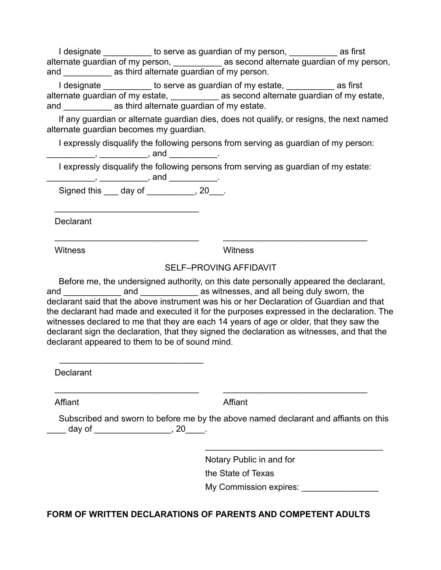I designate **to serve as guardian of my person,** as first alternate guardian of my person, and as second alternate guardian of my person, and \_\_\_\_\_\_\_\_\_\_ as third alternate guardian of my person.

I designate **to serve as guardian of my estate,**  as first alternate guardian of my estate, \_\_\_\_\_\_\_\_\_\_\_\_ as second alternate guardian of my estate, and as third alternate quardian of my estate.

 If any guardian or alternate guardian dies, does not qualify, or resigns, the next named alternate guardian becomes my guardian.

I expressly disqualify the following persons from serving as guardian of my person:

\_\_\_\_\_\_\_\_\_\_\_\_, \_\_\_\_\_\_\_\_\_\_\_\_\_\_, and \_\_\_\_\_\_\_\_\_\_\_\_\_.

I expressly disqualify the following persons from serving as guardian of my estate:

\_\_\_\_\_\_\_\_\_\_\_\_\_\_\_, \_\_\_\_\_\_\_\_\_\_\_\_\_\_\_, and \_\_\_\_\_\_\_\_\_\_\_\_\_\_. Signed this \_\_\_ day of \_\_\_\_\_\_\_\_\_, 20\_\_\_.

 $\mathcal{L}=\{1,2,3,4,5\}$ 

 $\mathcal{L}=\{1,2,3,4,5\}$ 

 $\frac{1}{2}$  ,  $\frac{1}{2}$  ,  $\frac{1}{2}$  ,  $\frac{1}{2}$  ,  $\frac{1}{2}$  ,  $\frac{1}{2}$  ,  $\frac{1}{2}$  ,  $\frac{1}{2}$  ,  $\frac{1}{2}$  ,  $\frac{1}{2}$  ,  $\frac{1}{2}$  ,  $\frac{1}{2}$  ,  $\frac{1}{2}$  ,  $\frac{1}{2}$  ,  $\frac{1}{2}$  ,  $\frac{1}{2}$  ,  $\frac{1}{2}$  ,  $\frac{1}{2}$  ,  $\frac{1$ 

 $\mathcal{L}=\{1,2,3,4,5\}$ 

Declarant

Witness

**Witness** 

 $\mathcal{L}=\{1,2,3,4,5\}$ 

 $\mathcal{L}=\{1,2,3,4,5\}$ 

## SELF–PROVING AFFIDAVIT

 Before me, the undersigned authority, on this date personally appeared the declarant, and and and and as witnesses, and all being duly sworn, the declarant said that the above instrument was his or her Declaration of Guardian and that the declarant had made and executed it for the purposes expressed in the declaration. The witnesses declared to me that they are each 14 years of age or older, that they saw the declarant sign the declaration, that they signed the declaration as witnesses, and that the declarant appeared to them to be of sound mind.

Declarant

Affiant

Affiant

 Subscribed and sworn to before me by the above named declarant and affiants on this  $\frac{1}{20}$  day of  $\frac{1}{20}$ , 20

 $\frac{1}{\sqrt{2}}$  ,  $\frac{1}{\sqrt{2}}$  ,  $\frac{1}{\sqrt{2}}$  ,  $\frac{1}{\sqrt{2}}$  ,  $\frac{1}{\sqrt{2}}$  ,  $\frac{1}{\sqrt{2}}$  ,  $\frac{1}{\sqrt{2}}$  ,  $\frac{1}{\sqrt{2}}$  ,  $\frac{1}{\sqrt{2}}$  ,  $\frac{1}{\sqrt{2}}$  ,  $\frac{1}{\sqrt{2}}$  ,  $\frac{1}{\sqrt{2}}$  ,  $\frac{1}{\sqrt{2}}$  ,  $\frac{1}{\sqrt{2}}$  ,  $\frac{1}{\sqrt{2}}$ 

Notary Public in and for

the State of Texas

My Commission expires:

# **FORM OF WRITTEN DECLARATIONS OF PARENTS AND COMPETENT ADULTS**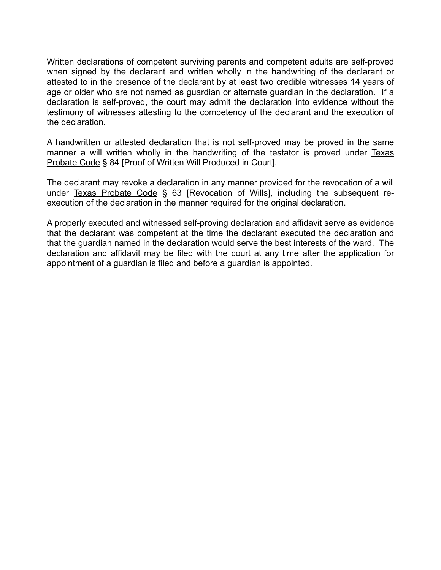Written declarations of competent surviving parents and competent adults are self-proved when signed by the declarant and written wholly in the handwriting of the declarant or attested to in the presence of the declarant by at least two credible witnesses 14 years of age or older who are not named as guardian or alternate guardian in the declaration. If a declaration is self-proved, the court may admit the declaration into evidence without the testimony of witnesses attesting to the competency of the declarant and the execution of the declaration.

A handwritten or attested declaration that is not self-proved may be proved in the same manner a will written wholly in the handwriting of the testator is proved under Texas Probate Code § 84 [Proof of Written Will Produced in Court].

The declarant may revoke a declaration in any manner provided for the revocation of a will under Texas Probate Code § 63 [Revocation of Wills], including the subsequent reexecution of the declaration in the manner required for the original declaration.

A properly executed and witnessed self-proving declaration and affidavit serve as evidence that the declarant was competent at the time the declarant executed the declaration and that the guardian named in the declaration would serve the best interests of the ward. The declaration and affidavit may be filed with the court at any time after the application for appointment of a guardian is filed and before a guardian is appointed.